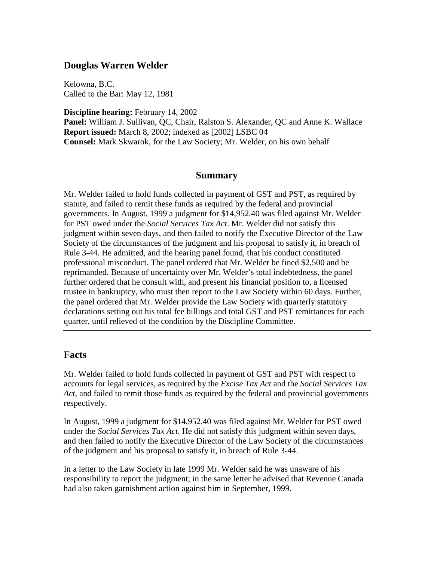## **Douglas Warren Welder**

Kelowna, B.C. Called to the Bar: May 12, 1981

**Discipline hearing:** February 14, 2002 **Panel:** William J. Sullivan, QC, Chair, Ralston S. Alexander, QC and Anne K. Wallace **Report issued:** March 8, 2002; indexed as [2002] LSBC 04 **Counsel:** Mark Skwarok, for the Law Society; Mr. Welder, on his own behalf

#### **Summary**

Mr. Welder failed to hold funds collected in payment of GST and PST, as required by statute, and failed to remit these funds as required by the federal and provincial governments. In August, 1999 a judgment for \$14,952.40 was filed against Mr. Welder for PST owed under the *Social Services Tax Act*. Mr. Welder did not satisfy this judgment within seven days, and then failed to notify the Executive Director of the Law Society of the circumstances of the judgment and his proposal to satisfy it, in breach of Rule 3-44. He admitted, and the hearing panel found, that his conduct constituted professional misconduct. The panel ordered that Mr. Welder be fined \$2,500 and be reprimanded. Because of uncertainty over Mr. Welder's total indebtedness, the panel further ordered that he consult with, and present his financial position to, a licensed trustee in bankruptcy, who must then report to the Law Society within 60 days. Further, the panel ordered that Mr. Welder provide the Law Society with quarterly statutory declarations setting out his total fee billings and total GST and PST remittances for each quarter, until relieved of the condition by the Discipline Committee.

### **Facts**

Mr. Welder failed to hold funds collected in payment of GST and PST with respect to accounts for legal services, as required by the *Excise Tax Act* and the *Social Services Tax Act*, and failed to remit those funds as required by the federal and provincial governments respectively.

In August, 1999 a judgment for \$14,952.40 was filed against Mr. Welder for PST owed under the *Social Services Tax Act*. He did not satisfy this judgment within seven days, and then failed to notify the Executive Director of the Law Society of the circumstances of the judgment and his proposal to satisfy it, in breach of Rule 3-44.

In a letter to the Law Society in late 1999 Mr. Welder said he was unaware of his responsibility to report the judgment; in the same letter he advised that Revenue Canada had also taken garnishment action against him in September, 1999.